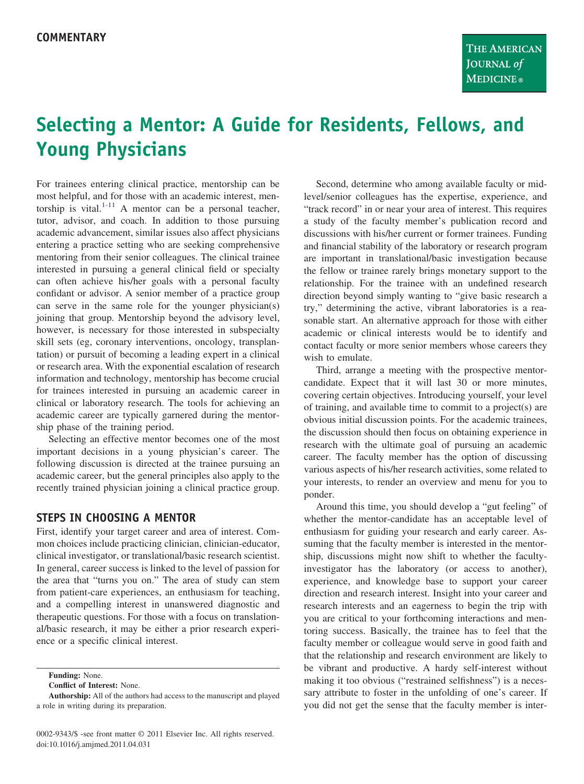# **Selecting a Mentor: A Guide for Residents, Fellows, and Young Physicians**

For trainees entering clinical practice, mentorship can be most helpful, and for those with an academic interest, mentorship is vital. $1-11$  A mentor can be a personal teacher, tutor, advisor, and coach. In addition to those pursuing academic advancement, similar issues also affect physicians entering a practice setting who are seeking comprehensive mentoring from their senior colleagues. The clinical trainee interested in pursuing a general clinical field or specialty can often achieve his/her goals with a personal faculty confidant or advisor. A senior member of a practice group can serve in the same role for the younger physician(s) joining that group. Mentorship beyond the advisory level, however, is necessary for those interested in subspecialty skill sets (eg, coronary interventions, oncology, transplantation) or pursuit of becoming a leading expert in a clinical or research area. With the exponential escalation of research information and technology, mentorship has become crucial for trainees interested in pursuing an academic career in clinical or laboratory research. The tools for achieving an academic career are typically garnered during the mentorship phase of the training period.

Selecting an effective mentor becomes one of the most important decisions in a young physician's career. The following discussion is directed at the trainee pursuing an academic career, but the general principles also apply to the recently trained physician joining a clinical practice group.

## **STEPS IN CHOOSING A MENTOR**

First, identify your target career and area of interest. Common choices include practicing clinician, clinician-educator, clinical investigator, or translational/basic research scientist. In general, career success is linked to the level of passion for the area that "turns you on." The area of study can stem from patient-care experiences, an enthusiasm for teaching, and a compelling interest in unanswered diagnostic and therapeutic questions. For those with a focus on translational/basic research, it may be either a prior research experience or a specific clinical interest.

**Funding:** None.

**Conflict of Interest:** None.

Second, determine who among available faculty or midlevel/senior colleagues has the expertise, experience, and "track record" in or near your area of interest. This requires a study of the faculty member's publication record and discussions with his/her current or former trainees. Funding and financial stability of the laboratory or research program are important in translational/basic investigation because the fellow or trainee rarely brings monetary support to the relationship. For the trainee with an undefined research direction beyond simply wanting to "give basic research a try," determining the active, vibrant laboratories is a reasonable start. An alternative approach for those with either academic or clinical interests would be to identify and contact faculty or more senior members whose careers they wish to emulate.

Third, arrange a meeting with the prospective mentorcandidate. Expect that it will last 30 or more minutes, covering certain objectives. Introducing yourself, your level of training, and available time to commit to a project(s) are obvious initial discussion points. For the academic trainees, the discussion should then focus on obtaining experience in research with the ultimate goal of pursuing an academic career. The faculty member has the option of discussing various aspects of his/her research activities, some related to your interests, to render an overview and menu for you to ponder.

Around this time, you should develop a "gut feeling" of whether the mentor-candidate has an acceptable level of enthusiasm for guiding your research and early career. Assuming that the faculty member is interested in the mentorship, discussions might now shift to whether the facultyinvestigator has the laboratory (or access to another), experience, and knowledge base to support your career direction and research interest. Insight into your career and research interests and an eagerness to begin the trip with you are critical to your forthcoming interactions and mentoring success. Basically, the trainee has to feel that the faculty member or colleague would serve in good faith and that the relationship and research environment are likely to be vibrant and productive. A hardy self-interest without making it too obvious ("restrained selfishness") is a necessary attribute to foster in the unfolding of one's career. If you did not get the sense that the faculty member is inter-

**Authorship:** All of the authors had access to the manuscript and played a role in writing during its preparation.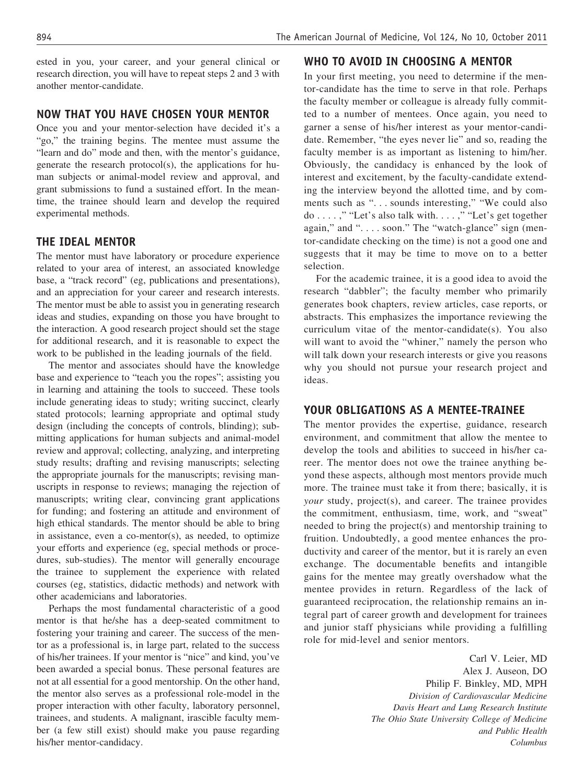ested in you, your career, and your general clinical or research direction, you will have to repeat steps 2 and 3 with another mentor-candidate.

## **NOW THAT YOU HAVE CHOSEN YOUR MENTOR**

Once you and your mentor-selection have decided it's a "go," the training begins. The mentee must assume the "learn and do" mode and then, with the mentor's guidance, generate the research protocol(s), the applications for human subjects or animal-model review and approval, and grant submissions to fund a sustained effort. In the meantime, the trainee should learn and develop the required experimental methods.

### **THE IDEAL MENTOR**

The mentor must have laboratory or procedure experience related to your area of interest, an associated knowledge base, a "track record" (eg, publications and presentations), and an appreciation for your career and research interests. The mentor must be able to assist you in generating research ideas and studies, expanding on those you have brought to the interaction. A good research project should set the stage for additional research, and it is reasonable to expect the work to be published in the leading journals of the field.

The mentor and associates should have the knowledge base and experience to "teach you the ropes"; assisting you in learning and attaining the tools to succeed. These tools include generating ideas to study; writing succinct, clearly stated protocols; learning appropriate and optimal study design (including the concepts of controls, blinding); submitting applications for human subjects and animal-model review and approval; collecting, analyzing, and interpreting study results; drafting and revising manuscripts; selecting the appropriate journals for the manuscripts; revising manuscripts in response to reviews; managing the rejection of manuscripts; writing clear, convincing grant applications for funding; and fostering an attitude and environment of high ethical standards. The mentor should be able to bring in assistance, even a co-mentor(s), as needed, to optimize your efforts and experience (eg, special methods or procedures, sub-studies). The mentor will generally encourage the trainee to supplement the experience with related courses (eg, statistics, didactic methods) and network with other academicians and laboratories.

Perhaps the most fundamental characteristic of a good mentor is that he/she has a deep-seated commitment to fostering your training and career. The success of the mentor as a professional is, in large part, related to the success of his/her trainees. If your mentor is "nice" and kind, you've been awarded a special bonus. These personal features are not at all essential for a good mentorship. On the other hand, the mentor also serves as a professional role-model in the proper interaction with other faculty, laboratory personnel, trainees, and students. A malignant, irascible faculty member (a few still exist) should make you pause regarding his/her mentor-candidacy.

## **WHO TO AVOID IN CHOOSING A MENTOR**

In your first meeting, you need to determine if the mentor-candidate has the time to serve in that role. Perhaps the faculty member or colleague is already fully committed to a number of mentees. Once again, you need to garner a sense of his/her interest as your mentor-candidate. Remember, "the eyes never lie" and so, reading the faculty member is as important as listening to him/her. Obviously, the candidacy is enhanced by the look of interest and excitement, by the faculty-candidate extending the interview beyond the allotted time, and by comments such as "... sounds interesting," "We could also do . . . . ," "Let's also talk with. . . . ," "Let's get together again," and ".... soon." The "watch-glance" sign (mentor-candidate checking on the time) is not a good one and suggests that it may be time to move on to a better selection.

For the academic trainee, it is a good idea to avoid the research "dabbler"; the faculty member who primarily generates book chapters, review articles, case reports, or abstracts. This emphasizes the importance reviewing the curriculum vitae of the mentor-candidate(s). You also will want to avoid the "whiner," namely the person who will talk down your research interests or give you reasons why you should not pursue your research project and ideas.

### **YOUR OBLIGATIONS AS A MENTEE-TRAINEE**

The mentor provides the expertise, guidance, research environment, and commitment that allow the mentee to develop the tools and abilities to succeed in his/her career. The mentor does not owe the trainee anything beyond these aspects, although most mentors provide much more. The trainee must take it from there; basically, it is *your* study, project(s), and career. The trainee provides the commitment, enthusiasm, time, work, and "sweat" needed to bring the project(s) and mentorship training to fruition. Undoubtedly, a good mentee enhances the productivity and career of the mentor, but it is rarely an even exchange. The documentable benefits and intangible gains for the mentee may greatly overshadow what the mentee provides in return. Regardless of the lack of guaranteed reciprocation, the relationship remains an integral part of career growth and development for trainees and junior staff physicians while providing a fulfilling role for mid-level and senior mentors.

> Carl V. Leier, MD Alex J. Auseon, DO Philip F. Binkley, MD, MPH *Division of Cardiovascular Medicine Davis Heart and Lung Research Institute The Ohio State University College of Medicine and Public Health Columbus*